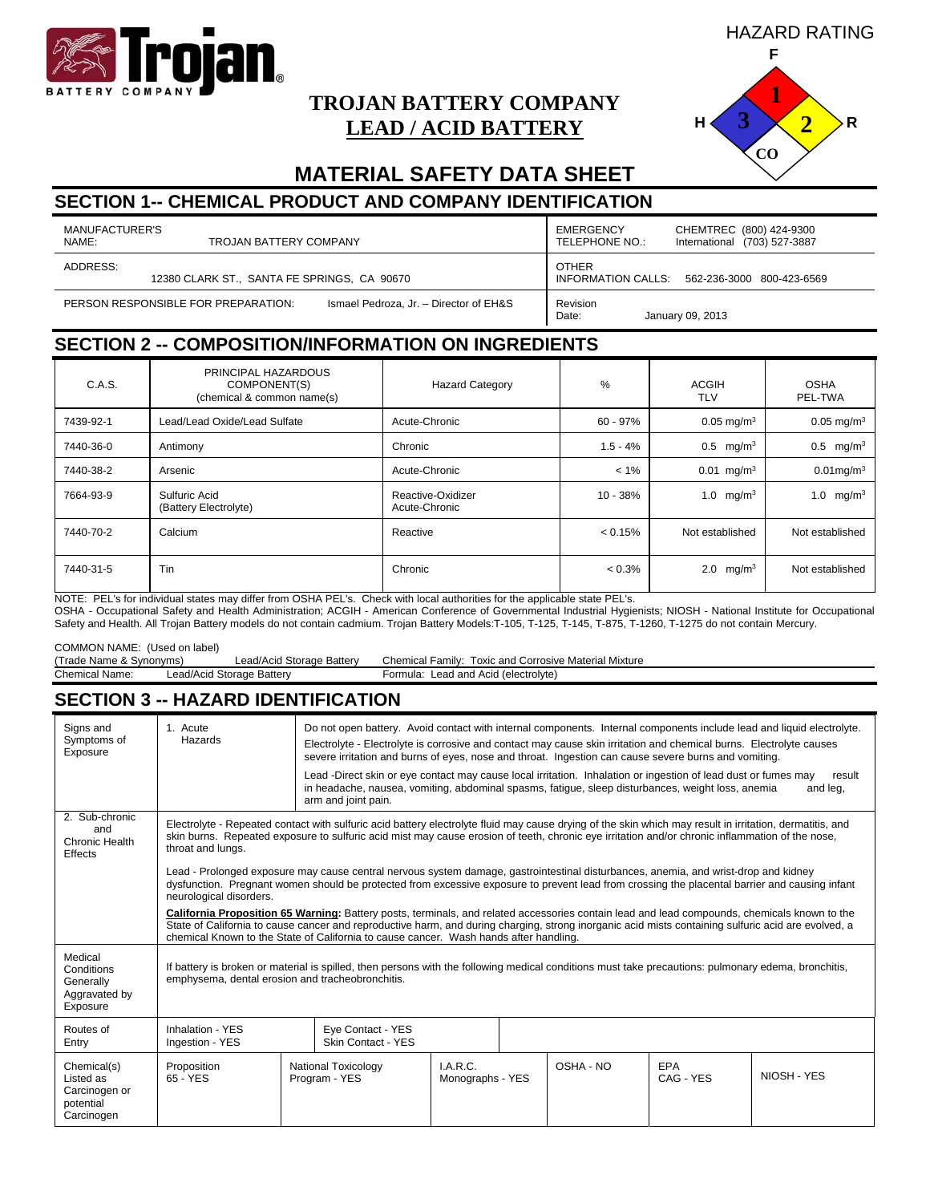

# **TROJAN BATTERY COMPANY LEAD / ACID BATTERY**



# **MATERIAL SAFETY DATA SHEET**

# **SECTION 1-- CHEMICAL PRODUCT AND COMPANY IDENTIFICATION**

| MANUFACTURER'S<br>NAME:<br>TROJAN BATTERY COMPANY                             | EMERGENCY<br>CHEMTREC (800) 424-9300<br>TELEPHONE NO.:<br>International (703) 527-3887 |
|-------------------------------------------------------------------------------|----------------------------------------------------------------------------------------|
| ADDRESS:<br>12380 CLARK ST., SANTA FE SPRINGS, CA 90670                       | <b>OTHER</b><br>INFORMATION CALLS: 562-236-3000 800-423-6569                           |
| Ismael Pedroza, Jr. - Director of EH&S<br>PERSON RESPONSIBLE FOR PREPARATION: | Revision<br>Date:<br>January 09, 2013                                                  |

### **SECTION 2 -- COMPOSITION/INFORMATION ON INGREDIENTS**

| C.A.S.    | PRINCIPAL HAZARDOUS<br>COMPONENT(S)<br>(chemical & common name(s) | <b>Hazard Category</b>             | %          | <b>ACGIH</b><br><b>TLV</b> | <b>OSHA</b><br>PEL-TWA   |
|-----------|-------------------------------------------------------------------|------------------------------------|------------|----------------------------|--------------------------|
| 7439-92-1 | Lead/Lead Oxide/Lead Sulfate                                      | Acute-Chronic                      | $60 - 97%$ | $0.05 \text{ mg/m}^3$      | $0.05 \text{ mg/m}^3$    |
| 7440-36-0 | Antimony                                                          | Chronic                            | $1.5 - 4%$ | $0.5 \, \text{mg/m}^3$     | $0.5 \, \text{mg/m}^3$   |
| 7440-38-2 | Arsenic                                                           | Acute-Chronic                      | $< 1\%$    | $0.01$ mg/m <sup>3</sup>   | $0.01$ mg/m $3$          |
| 7664-93-9 | Sulfuric Acid<br>(Battery Electrolyte)                            | Reactive-Oxidizer<br>Acute-Chronic | 10 - 38%   | 1.0 $mg/m3$                | mg/m <sup>3</sup><br>1.0 |
| 7440-70-2 | Calcium                                                           | Reactive                           | < 0.15%    | Not established            | Not established          |
| 7440-31-5 | Tin                                                               | Chronic                            | $< 0.3\%$  | 2.0 mg/m <sup>3</sup>      | Not established          |

NOTE: PEL's for individual states may differ from OSHA PEL's. Check with local authorities for the applicable state PEL's.

OSHA - Occupational Safety and Health Administration; ACGIH - American Conference of Governmental Industrial Hygienists; NIOSH - National Institute for Occupational Safety and Health. All Trojan Battery models do not contain cadmium. Trojan Battery Models:T-105, T-125, T-145, T-875, T-1260, T-1275 do not contain Mercury.

COMMON NAME: (Used on label)<br>(Trade Name & Synonyms)

Chemical Name: Lead/Acid Storage Battery Formula: Lead and Acid (electrolyte)

Lead/Acid Storage Battery Chemical Family: Toxic and Corrosive Material Mixture

# **SECTION 3 -- HAZARD IDENTIFICATION**

| Signs and<br>Symptoms of<br>Exposure                                 | 1. Acute<br>Hazards                              | Do not open battery. Avoid contact with internal components. Internal components include lead and liquid electrolyte.<br>Electrolyte - Electrolyte is corrosive and contact may cause skin irritation and chemical burns. Electrolyte causes<br>severe irritation and burns of eyes, nose and throat. Ingestion can cause severe burns and vomiting.                                         |                               |  |           |                         |                    |  |
|----------------------------------------------------------------------|--------------------------------------------------|----------------------------------------------------------------------------------------------------------------------------------------------------------------------------------------------------------------------------------------------------------------------------------------------------------------------------------------------------------------------------------------------|-------------------------------|--|-----------|-------------------------|--------------------|--|
|                                                                      |                                                  | Lead -Direct skin or eye contact may cause local irritation. Inhalation or ingestion of lead dust or fumes may<br>in headache, nausea, vomiting, abdominal spasms, fatigue, sleep disturbances, weight loss, anemia<br>arm and joint pain.                                                                                                                                                   |                               |  |           |                         | result<br>and leg, |  |
| 2. Sub-chronic<br>and<br>Chronic Health<br>Effects                   | throat and lungs.                                | Electrolyte - Repeated contact with sulfuric acid battery electrolyte fluid may cause drying of the skin which may result in irritation, dermatitis, and<br>skin burns. Repeated exposure to sulfuric acid mist may cause erosion of teeth, chronic eye irritation and/or chronic inflammation of the nose,                                                                                  |                               |  |           |                         |                    |  |
|                                                                      | neurological disorders.                          | Lead - Prolonged exposure may cause central nervous system damage, gastrointestinal disturbances, anemia, and wrist-drop and kidney<br>dysfunction. Pregnant women should be protected from excessive exposure to prevent lead from crossing the placental barrier and causing infant                                                                                                        |                               |  |           |                         |                    |  |
|                                                                      |                                                  | California Proposition 65 Warning: Battery posts, terminals, and related accessories contain lead and lead compounds, chemicals known to the<br>State of California to cause cancer and reproductive harm, and during charging, strong inorganic acid mists containing sulfuric acid are evolved, a<br>chemical Known to the State of California to cause cancer. Wash hands after handling. |                               |  |           |                         |                    |  |
| Medical<br>Conditions<br>Generally<br>Aggravated by<br>Exposure      | emphysema, dental erosion and tracheobronchitis. | If battery is broken or material is spilled, then persons with the following medical conditions must take precautions: pulmonary edema, bronchitis,                                                                                                                                                                                                                                          |                               |  |           |                         |                    |  |
| Routes of<br>Entry                                                   | Inhalation - YES<br>Ingestion - YES              | Eye Contact - YES<br>Skin Contact - YES                                                                                                                                                                                                                                                                                                                                                      |                               |  |           |                         |                    |  |
| Chemical(s)<br>Listed as<br>Carcinogen or<br>potential<br>Carcinogen | Proposition<br>65 - YES                          | National Toxicology<br>Program - YES                                                                                                                                                                                                                                                                                                                                                         | $LA$ R.C.<br>Monographs - YES |  | OSHA - NO | <b>FPA</b><br>CAG - YES | NIOSH - YES        |  |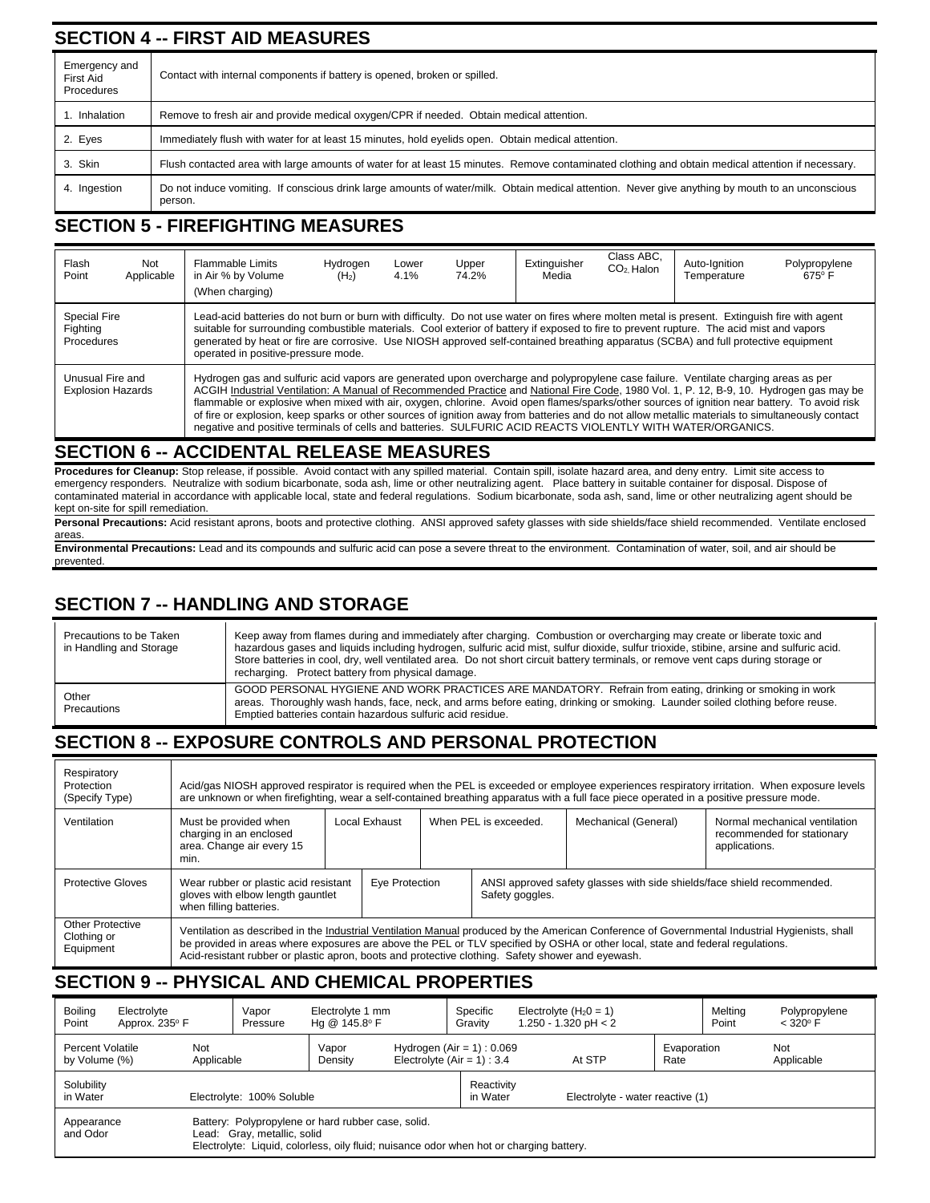# **SECTION 4 -- FIRST AID MEASURES**

| Emergency and<br>First Aid<br>Procedures | Contact with internal components if battery is opened, broken or spilled.                                                                                   |  |  |  |  |  |  |  |
|------------------------------------------|-------------------------------------------------------------------------------------------------------------------------------------------------------------|--|--|--|--|--|--|--|
| Inhalation                               | Remove to fresh air and provide medical oxygen/CPR if needed. Obtain medical attention.                                                                     |  |  |  |  |  |  |  |
| 2. Eyes                                  | Immediately flush with water for at least 15 minutes, hold eyelids open. Obtain medical attention.                                                          |  |  |  |  |  |  |  |
| 3. Skin                                  | Flush contacted area with large amounts of water for at least 15 minutes. Remove contaminated clothing and obtain medical attention if necessary.           |  |  |  |  |  |  |  |
| 4. Ingestion                             | Do not induce vomiting. If conscious drink large amounts of water/milk. Obtain medical attention. Never give anything by mouth to an unconscious<br>person. |  |  |  |  |  |  |  |

# **SECTION 5 - FIREFIGHTING MEASURES**

| Flash<br>Point                                                                                                                                                                                                                                                                                                                                                                                                                                                                                                                                                                                                                                                                                                                                    | Not<br>Applicable | Flammable Limits<br>in Air % by Volume<br>(When charging)                                                                                                                                                                                                                                                                                                                                                                                                              | Hydrogen<br>(H <sub>2</sub> ) | Lower<br>$4.1\%$ | Upper<br>74.2% | Extinguisher<br>Media | Class ABC.<br>CO <sub>2</sub> Halon | Auto-Ignition<br>Temperature | Polypropylene<br>$675^\circ$ F |
|---------------------------------------------------------------------------------------------------------------------------------------------------------------------------------------------------------------------------------------------------------------------------------------------------------------------------------------------------------------------------------------------------------------------------------------------------------------------------------------------------------------------------------------------------------------------------------------------------------------------------------------------------------------------------------------------------------------------------------------------------|-------------------|------------------------------------------------------------------------------------------------------------------------------------------------------------------------------------------------------------------------------------------------------------------------------------------------------------------------------------------------------------------------------------------------------------------------------------------------------------------------|-------------------------------|------------------|----------------|-----------------------|-------------------------------------|------------------------------|--------------------------------|
| <b>Special Fire</b><br>Fighting<br>Procedures                                                                                                                                                                                                                                                                                                                                                                                                                                                                                                                                                                                                                                                                                                     |                   | Lead-acid batteries do not burn or burn with difficulty. Do not use water on fires where molten metal is present. Extinguish fire with agent<br>suitable for surrounding combustible materials. Cool exterior of battery if exposed to fire to prevent rupture. The acid mist and vapors<br>generated by heat or fire are corrosive. Use NIOSH approved self-contained breathing apparatus (SCBA) and full protective equipment<br>operated in positive-pressure mode. |                               |                  |                |                       |                                     |                              |                                |
| Hydrogen gas and sulfuric acid vapors are generated upon overcharge and polypropylene case failure. Ventilate charging areas as per<br>Unusual Fire and<br>ACGIH Industrial Ventilation: A Manual of Recommended Practice and National Fire Code, 1980 Vol. 1, P. 12, B-9, 10. Hydrogen gas may be<br><b>Explosion Hazards</b><br>flammable or explosive when mixed with air, oxygen, chlorine. Avoid open flames/sparks/other sources of ignition near battery. To avoid risk<br>of fire or explosion, keep sparks or other sources of ignition away from batteries and do not allow metallic materials to simultaneously contact<br>negative and positive terminals of cells and batteries. SULFURIC ACID REACTS VIOLENTLY WITH WATER/ORGANICS. |                   |                                                                                                                                                                                                                                                                                                                                                                                                                                                                        |                               |                  |                |                       |                                     |                              |                                |

### **SECTION 6 -- ACCIDENTAL RELEASE MEASURES**

**Procedures for Cleanup:** Stop release, if possible. Avoid contact with any spilled material. Contain spill, isolate hazard area, and deny entry. Limit site access to emergency responders. Neutralize with sodium bicarbonate, soda ash, lime or other neutralizing agent. Place battery in suitable container for disposal. Dispose of contaminated material in accordance with applicable local, state and federal regulations. Sodium bicarbonate, soda ash, sand, lime or other neutralizing agent should be kept on-site for spill remediation.

Personal Precautions: Acid resistant aprons, boots and protective clothing. ANSI approved safety glasses with side shields/face shield recommended. Ventilate enclosed areas

**Environmental Precautions:** Lead and its compounds and sulfuric acid can pose a severe threat to the environment. Contamination of water, soil, and air should be prevented.

# **SECTION 7 -- HANDLING AND STORAGE**

| Precautions to be Taken<br>in Handling and Storage | Keep away from flames during and immediately after charging. Combustion or overcharging may create or liberate toxic and<br>hazardous gases and liquids including hydrogen, sulfuric acid mist, sulfur dioxide, sulfur trioxide, stibine, arsine and sulfuric acid.<br>Store batteries in cool, dry, well ventilated area. Do not short circuit battery terminals, or remove vent caps during storage or<br>recharging. Protect battery from physical damage. |
|----------------------------------------------------|---------------------------------------------------------------------------------------------------------------------------------------------------------------------------------------------------------------------------------------------------------------------------------------------------------------------------------------------------------------------------------------------------------------------------------------------------------------|
| Other<br>Precautions                               | GOOD PERSONAL HYGIENE AND WORK PRACTICES ARE MANDATORY. Refrain from eating, drinking or smoking in work<br>areas. Thoroughly wash hands, face, neck, and arms before eating, drinking or smoking. Launder soiled clothing before reuse.<br>Emptied batteries contain hazardous sulfuric acid residue.                                                                                                                                                        |

# **SECTION 8 -- EXPOSURE CONTROLS AND PERSONAL PROTECTION**

| Respiratory<br>Protection<br>(Specify Type)  | Acid/gas NIOSH approved respirator is required when the PEL is exceeded or employee experiences respiratory irritation. When exposure levels<br>are unknown or when firefighting, wear a self-contained breathing apparatus with a full face piece operated in a positive pressure mode.                                                                                              |                |  |                       |                                                                         |                      |                                                                              |  |  |
|----------------------------------------------|---------------------------------------------------------------------------------------------------------------------------------------------------------------------------------------------------------------------------------------------------------------------------------------------------------------------------------------------------------------------------------------|----------------|--|-----------------------|-------------------------------------------------------------------------|----------------------|------------------------------------------------------------------------------|--|--|
| Ventilation                                  | Must be provided when<br>charging in an enclosed<br>area. Change air every 15<br>min.                                                                                                                                                                                                                                                                                                 | Local Exhaust  |  | When PEL is exceeded. |                                                                         | Mechanical (General) | Normal mechanical ventilation<br>recommended for stationary<br>applications. |  |  |
| <b>Protective Gloves</b>                     | Wear rubber or plastic acid resistant<br>gloves with elbow length gauntlet<br>when filling batteries.                                                                                                                                                                                                                                                                                 | Eye Protection |  | Safety goggles.       | ANSI approved safety glasses with side shields/face shield recommended. |                      |                                                                              |  |  |
| Other Protective<br>Clothing or<br>Equipment | Ventilation as described in the Industrial Ventilation Manual produced by the American Conference of Governmental Industrial Hygienists, shall<br>be provided in areas where exposures are above the PEL or TLV specified by OSHA or other local, state and federal regulations.<br>Acid-resistant rubber or plastic apron, boots and protective clothing. Safety shower and eyewash. |                |  |                       |                                                                         |                      |                                                                              |  |  |

# **SECTION 9 -- PHYSICAL AND CHEMICAL PROPERTIES**

| Boiling<br>Point                  | Electrolyte<br>Approx. 235° F                                                                                                                                                |                   | Vapor<br>Pressure | Electrolyte 1 mm<br>Hg @ 145.8° F |                        | Specific<br>Gravity                                            | Electrolyte $(H_2 0 = 1)$<br>1.250 - 1.320 pH $<$ 2 |                     | Melting<br>Point | Polypropylene<br>$< 320^{\circ}$ F |
|-----------------------------------|------------------------------------------------------------------------------------------------------------------------------------------------------------------------------|-------------------|-------------------|-----------------------------------|------------------------|----------------------------------------------------------------|-----------------------------------------------------|---------------------|------------------|------------------------------------|
| Percent Volatile<br>by Volume (%) |                                                                                                                                                                              | Not<br>Applicable |                   | Vapor<br>Density                  |                        | Hydrogen $(Air = 1) : 0.069$<br>Electrolyte (Air = $1$ ) : 3.4 | At STP                                              | Evaporation<br>Rate |                  | Not<br>Applicable                  |
| Solubility<br>in Water            | Electrolyte: 100% Soluble                                                                                                                                                    |                   |                   |                                   | Reactivity<br>in Water | Electrolyte - water reactive (1)                               |                                                     |                     |                  |                                    |
| Appearance<br>and Odor            | Battery: Polypropylene or hard rubber case, solid.<br>Lead: Gray, metallic, solid<br>Electrolyte: Liquid, colorless, oily fluid; nuisance odor when hot or charging battery. |                   |                   |                                   |                        |                                                                |                                                     |                     |                  |                                    |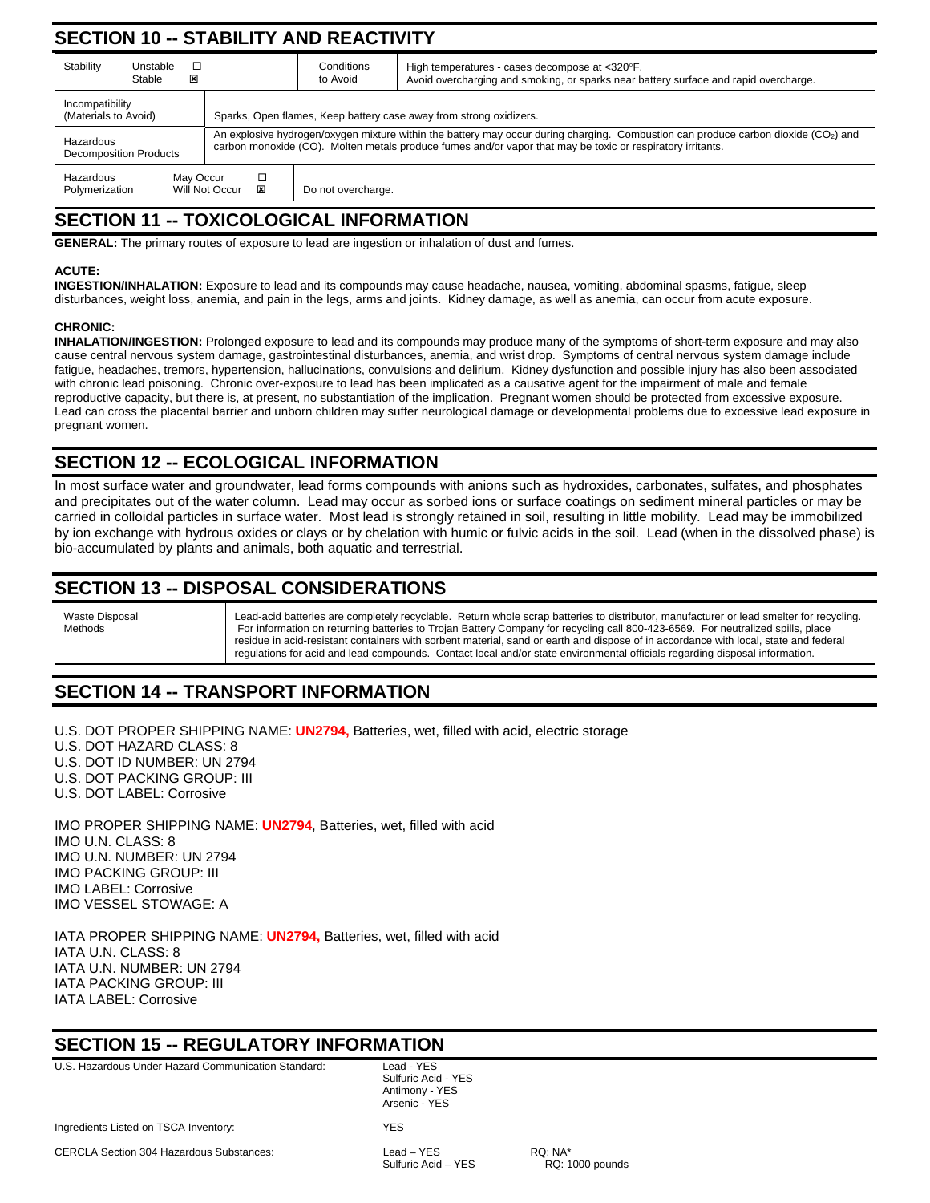# **SECTION 10 -- STABILITY AND REACTIVITY**

| Stability                                                                                  | Unstable<br>Stable                                                                                                                                                                                                                                                                    | ⊠ |                                                                    | Conditions<br>to Avoid | High temperatures - cases decompose at <320°F.<br>Avoid overcharging and smoking, or sparks near battery surface and rapid overcharge. |  |  |  |
|--------------------------------------------------------------------------------------------|---------------------------------------------------------------------------------------------------------------------------------------------------------------------------------------------------------------------------------------------------------------------------------------|---|--------------------------------------------------------------------|------------------------|----------------------------------------------------------------------------------------------------------------------------------------|--|--|--|
| Incompatibility<br>(Materials to Avoid)                                                    |                                                                                                                                                                                                                                                                                       |   | Sparks, Open flames, Keep battery case away from strong oxidizers. |                        |                                                                                                                                        |  |  |  |
| Hazardous                                                                                  | An explosive hydrogen/oxygen mixture within the battery may occur during charging. Combustion can produce carbon dioxide ( $CO2$ ) and<br>carbon monoxide (CO). Molten metals produce fumes and/or vapor that may be toxic or respiratory irritants.<br><b>Decomposition Products</b> |   |                                                                    |                        |                                                                                                                                        |  |  |  |
| May Occur<br>Hazardous<br>□<br>Will Not Occur<br>⊠<br>Polymerization<br>Do not overcharge. |                                                                                                                                                                                                                                                                                       |   |                                                                    |                        |                                                                                                                                        |  |  |  |

## **SECTION 11 -- TOXICOLOGICAL INFORMATION**

**GENERAL:** The primary routes of exposure to lead are ingestion or inhalation of dust and fumes.

#### **ACUTE:**

**INGESTION/INHALATION:** Exposure to lead and its compounds may cause headache, nausea, vomiting, abdominal spasms, fatigue, sleep disturbances, weight loss, anemia, and pain in the legs, arms and joints. Kidney damage, as well as anemia, can occur from acute exposure.

#### **CHRONIC:**

**INHALATION/INGESTION:** Prolonged exposure to lead and its compounds may produce many of the symptoms of short-term exposure and may also cause central nervous system damage, gastrointestinal disturbances, anemia, and wrist drop. Symptoms of central nervous system damage include fatigue, headaches, tremors, hypertension, hallucinations, convulsions and delirium. Kidney dysfunction and possible injury has also been associated with chronic lead poisoning. Chronic over-exposure to lead has been implicated as a causative agent for the impairment of male and female reproductive capacity, but there is, at present, no substantiation of the implication. Pregnant women should be protected from excessive exposure. Lead can cross the placental barrier and unborn children may suffer neurological damage or developmental problems due to excessive lead exposure in pregnant women.

## **SECTION 12 -- ECOLOGICAL INFORMATION**

In most surface water and groundwater, lead forms compounds with anions such as hydroxides, carbonates, sulfates, and phosphates and precipitates out of the water column. Lead may occur as sorbed ions or surface coatings on sediment mineral particles or may be carried in colloidal particles in surface water. Most lead is strongly retained in soil, resulting in little mobility. Lead may be immobilized by ion exchange with hydrous oxides or clays or by chelation with humic or fulvic acids in the soil. Lead (when in the dissolved phase) is bio-accumulated by plants and animals, both aquatic and terrestrial.

# **SECTION 13 -- DISPOSAL CONSIDERATIONS**



Lead-acid batteries are completely recyclable. Return whole scrap batteries to distributor, manufacturer or lead smelter for recycling. For information on returning batteries to Trojan Battery Company for recycling call 800-423-6569. For neutralized spills, place residue in acid-resistant containers with sorbent material, sand or earth and dispose of in accordance with local, state and federal regulations for acid and lead compounds. Contact local and/or state environmental officials regarding disposal information.

# **SECTION 14 -- TRANSPORT INFORMATION**

U.S. DOT PROPER SHIPPING NAME: **UN2794,** Batteries, wet, filled with acid, electric storage

U.S. DOT HAZARD CLASS: 8

U.S. DOT ID NUMBER: UN 2794

U.S. DOT PACKING GROUP: III

U.S. DOT LABEL: Corrosive

IMO PROPER SHIPPING NAME: **UN2794**, Batteries, wet, filled with acid IMO U.N. CLASS: 8 IMO U.N. NUMBER: UN 2794 IMO PACKING GROUP: III IMO LABEL: Corrosive IMO VESSEL STOWAGE: A

IATA PROPER SHIPPING NAME: **UN2794,** Batteries, wet, filled with acid IATA U.N. CLASS: 8 IATA U.N. NUMBER: UN 2794 IATA PACKING GROUP: III IATA LABEL: Corrosive

## **SECTION 15 -- REGULATORY INFORMATION**

U.S. Hazardous Under Hazard Communication Standard: Lead - YES

 Sulfuric Acid - YES Antimony - YES Arsenic - YES

CERCLA Section 304 Hazardous Substances: Lead – YES RQ: NA\*

Sulfuric Acid – YES RQ: 1000 pounds